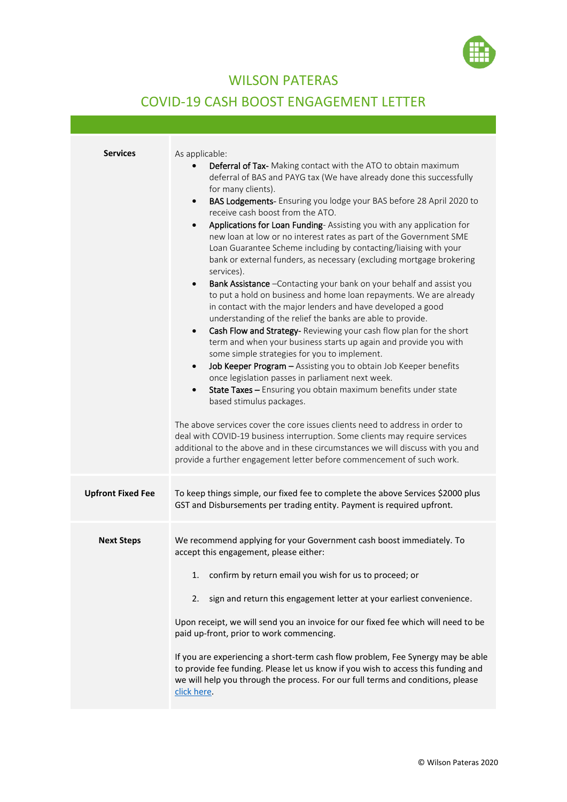

## WILSON PATERAS

## COVID-19 CASH BOOST ENGAGEMENT LETTER

| <b>Services</b>          | As applicable:<br>Deferral of Tax- Making contact with the ATO to obtain maximum<br>deferral of BAS and PAYG tax (We have already done this successfully<br>for many clients).<br>BAS Lodgements- Ensuring you lodge your BAS before 28 April 2020 to<br>$\bullet$<br>receive cash boost from the ATO.<br>Applications for Loan Funding-Assisting you with any application for<br>$\bullet$<br>new loan at low or no interest rates as part of the Government SME<br>Loan Guarantee Scheme including by contacting/liaising with your<br>bank or external funders, as necessary (excluding mortgage brokering<br>services).<br>Bank Assistance - Contacting your bank on your behalf and assist you<br>$\bullet$<br>to put a hold on business and home loan repayments. We are already<br>in contact with the major lenders and have developed a good<br>understanding of the relief the banks are able to provide.<br>Cash Flow and Strategy-Reviewing your cash flow plan for the short<br>$\bullet$<br>term and when your business starts up again and provide you with<br>some simple strategies for you to implement.<br>Job Keeper Program - Assisting you to obtain Job Keeper benefits<br>$\bullet$<br>once legislation passes in parliament next week.<br>State Taxes - Ensuring you obtain maximum benefits under state<br>$\bullet$<br>based stimulus packages.<br>The above services cover the core issues clients need to address in order to<br>deal with COVID-19 business interruption. Some clients may require services<br>additional to the above and in these circumstances we will discuss with you and<br>provide a further engagement letter before commencement of such work. |
|--------------------------|-------------------------------------------------------------------------------------------------------------------------------------------------------------------------------------------------------------------------------------------------------------------------------------------------------------------------------------------------------------------------------------------------------------------------------------------------------------------------------------------------------------------------------------------------------------------------------------------------------------------------------------------------------------------------------------------------------------------------------------------------------------------------------------------------------------------------------------------------------------------------------------------------------------------------------------------------------------------------------------------------------------------------------------------------------------------------------------------------------------------------------------------------------------------------------------------------------------------------------------------------------------------------------------------------------------------------------------------------------------------------------------------------------------------------------------------------------------------------------------------------------------------------------------------------------------------------------------------------------------------------------------------------------------------------------------------------------|
| <b>Upfront Fixed Fee</b> | To keep things simple, our fixed fee to complete the above Services \$2000 plus<br>GST and Disbursements per trading entity. Payment is required upfront.                                                                                                                                                                                                                                                                                                                                                                                                                                                                                                                                                                                                                                                                                                                                                                                                                                                                                                                                                                                                                                                                                                                                                                                                                                                                                                                                                                                                                                                                                                                                             |
| <b>Next Steps</b>        | We recommend applying for your Government cash boost immediately. To<br>accept this engagement, please either:<br>confirm by return email you wish for us to proceed; or<br>1.<br>sign and return this engagement letter at your earliest convenience.<br>2.<br>Upon receipt, we will send you an invoice for our fixed fee which will need to be<br>paid up-front, prior to work commencing.<br>If you are experiencing a short-term cash flow problem, Fee Synergy may be able<br>to provide fee funding. Please let us know if you wish to access this funding and<br>we will help you through the process. For our full terms and conditions, please<br>click here.                                                                                                                                                                                                                                                                                                                                                                                                                                                                                                                                                                                                                                                                                                                                                                                                                                                                                                                                                                                                                               |